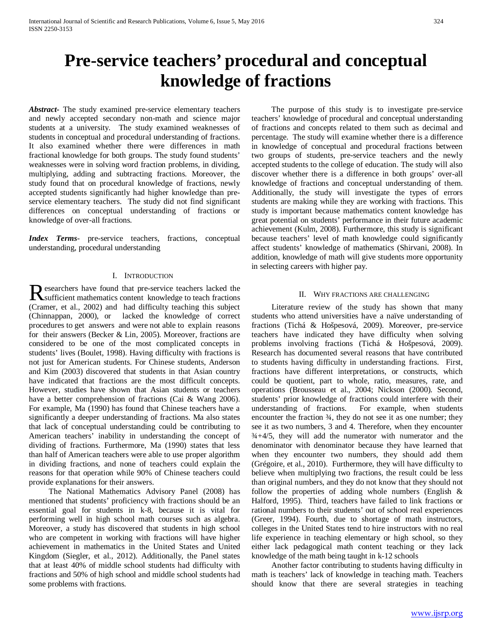# **Pre-service teachers' procedural and conceptual knowledge of fractions**

*Abstract***-** The study examined pre-service elementary teachers and newly accepted secondary non-math and science major students at a university. The study examined weaknesses of students in conceptual and procedural understanding of fractions. It also examined whether there were differences in math fractional knowledge for both groups. The study found students' weaknesses were in solving word fraction problems, in dividing, multiplying, adding and subtracting fractions. Moreover, the study found that on procedural knowledge of fractions, newly accepted students significantly had higher knowledge than preservice elementary teachers. The study did not find significant differences on conceptual understanding of fractions or knowledge of over-all fractions.

*Index Terms*- pre-service teachers, fractions, conceptual understanding, procedural understanding

#### I. INTRODUCTION

searchers have found that pre-service teachers lacked the Researchers have found that pre-service teachers lacked the<br>
Sufficient mathematics content knowledge to teach fractions<br>
Compared to the distance of the distance of the distance of the distance of the distance of the dist (Cramer, et al., 2002) and had difficulty teaching this subject (Chinnappan, 2000), or lacked the knowledge of correct procedures to get answers and were not able to explain reasons for their answers (Becker & Lin, 2005). Moreover, fractions are considered to be one of the most complicated concepts in students' lives (Boulet, 1998). Having difficulty with fractions is not just for American students. For Chinese students, Anderson and Kim (2003) discovered that students in that Asian country have indicated that fractions are the most difficult concepts. However, studies have shown that Asian students or teachers have a better comprehension of fractions (Cai & Wang 2006). For example, Ma (1990) has found that Chinese teachers have a significantly a deeper understanding of fractions. Ma also states that lack of conceptual understanding could be contributing to American teachers' inability in understanding the concept of dividing of fractions. Furthermore, Ma (1990) states that less than half of American teachers were able to use proper algorithm in dividing fractions, and none of teachers could explain the reasons for that operation while 90% of Chinese teachers could provide explanations for their answers.

 The National Mathematics Advisory Panel (2008) has mentioned that students' proficiency with fractions should be an essential goal for students in k-8, because it is vital for performing well in high school math courses such as algebra. Moreover, a study has discovered that students in high school who are competent in working with fractions will have higher achievement in mathematics in the United States and United Kingdom (Siegler, et al., 2012). Additionally, the Panel states that at least 40% of middle school students had difficulty with fractions and 50% of high school and middle school students had some problems with fractions.

 The purpose of this study is to investigate pre-service teachers' knowledge of procedural and conceptual understanding of fractions and concepts related to them such as decimal and percentage. The study will examine whether there is a difference in knowledge of conceptual and procedural fractions between two groups of students, pre-service teachers and the newly accepted students to the college of education. The study will also discover whether there is a difference in both groups' over-all knowledge of fractions and conceptual understanding of them. Additionally, the study will investigate the types of errors students are making while they are working with fractions. This study is important because mathematics content knowledge has great potential on students' performance in their future academic achievement (Kulm, 2008). Furthermore, this study is significant because teachers' level of math knowledge could significantly affect students' knowledge of mathematics (Shirvani, 2008). In addition, knowledge of math will give students more opportunity in selecting careers with higher pay.

## II. WHY FRACTIONS ARE CHALLENGING

 Literature review of the study has shown that many students who attend universities have a naïve understanding of fractions (Tichá & Hošpesová, 2009). Moreover, pre-service teachers have indicated they have difficulty when solving problems involving fractions (Tichá & Hošpesová, 2009). Research has documented several reasons that have contributed to students having difficulty in understanding fractions. First, fractions have different interpretations, or constructs, which could be quotient, part to whole, ratio, measures, rate, and operations (Brousseau et al., 2004; Nickson (2000). Second, students' prior knowledge of fractions could interfere with their understanding of fractions. For example, when students encounter the fraction  $\frac{3}{4}$ , they do not see it as one number; they see it as two numbers, 3 and 4. Therefore, when they encounter  $\frac{3}{4} + \frac{4}{5}$ , they will add the numerator with numerator and the denominator with denominator because they have learned that when they encounter two numbers, they should add them (Grégoire, et al., 2010). Furthermore, they will have difficulty to believe when multiplying two fractions, the result could be less than original numbers, and they do not know that they should not follow the properties of adding whole numbers (English & Halford, 1995). Third, teachers have failed to link fractions or rational numbers to their students' out of school real experiences (Greer, 1994). Fourth, due to shortage of math instructors, colleges in the United States tend to hire instructors with no real life experience in teaching elementary or high school, so they either lack pedagogical math content teaching or they lack knowledge of the math being taught in k-12 schools

 Another factor contributing to students having difficulty in math is teachers' lack of knowledge in teaching math. Teachers should know that there are several strategies in teaching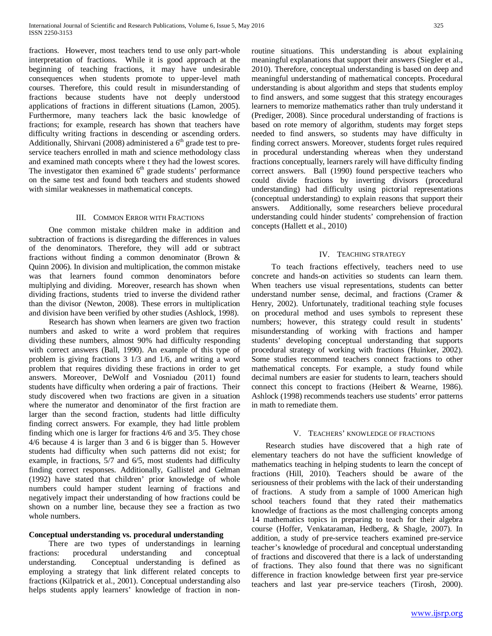fractions. However, most teachers tend to use only part-whole interpretation of fractions. While it is good approach at the beginning of teaching fractions, it may have undesirable consequences when students promote to upper-level math courses. Therefore, this could result in misunderstanding of fractions because students have not deeply understood applications of fractions in different situations (Lamon, 2005). Furthermore, many teachers lack the basic knowledge of fractions; for example, research has shown that teachers have difficulty writing fractions in descending or ascending orders. Additionally, Shirvani (2008) administered a  $6<sup>th</sup>$  grade test to preservice teachers enrolled in math and science methodology class and examined math concepts where t they had the lowest scores. The investigator then examined  $6<sup>th</sup>$  grade students' performance on the same test and found both teachers and students showed with similar weaknesses in mathematical concepts.

### III. COMMON ERROR WITH FRACTIONS

 One common mistake children make in addition and subtraction of fractions is disregarding the differences in values of the denominators. Therefore, they will add or subtract fractions without finding a common denominator (Brown & Quinn 2006). In division and multiplication, the common mistake was that learners found common denominators before multiplying and dividing. Moreover, research has shown when dividing fractions, students tried to inverse the dividend rather than the divisor (Newton, 2008). These errors in multiplication and division have been verified by other studies (Ashlock, 1998).

 Research has shown when learners are given two fraction numbers and asked to write a word problem that requires dividing these numbers, almost 90% had difficulty responding with correct answers (Ball, 1990). An example of this type of problem is giving fractions 3 1/3 and 1/6, and writing a word problem that requires dividing these fractions in order to get answers. Moreover, DeWolf and Vosniadou (2011) found students have difficulty when ordering a pair of fractions. Their study discovered when two fractions are given in a situation where the numerator and denominator of the first fraction are larger than the second fraction, students had little difficulty finding correct answers. For example, they had little problem finding which one is larger for fractions 4/6 and 3/5. They chose 4/6 because 4 is larger than 3 and 6 is bigger than 5. However students had difficulty when such patterns did not exist; for example, in fractions, 5/7 and 6/5, most students had difficulty finding correct responses. Additionally, Gallistel and Gelman (1992) have stated that children' prior knowledge of whole numbers could hamper student learning of fractions and negatively impact their understanding of how fractions could be shown on a number line, because they see a fraction as two whole numbers.

### **Conceptual understanding vs. procedural understanding**

 There are two types of understandings in learning fractions: procedural understanding and conceptual understanding. Conceptual understanding is defined as employing a strategy that link different related concepts to fractions (Kilpatrick et al., 2001). Conceptual understanding also helps students apply learners' knowledge of fraction in nonroutine situations. This understanding is about explaining meaningful explanations that support their answers (Siegler et al., 2010). Therefore, conceptual understanding is based on deep and meaningful understanding of mathematical concepts. Procedural understanding is about algorithm and steps that students employ to find answers, and some suggest that this strategy encourages learners to memorize mathematics rather than truly understand it (Prediger, 2008). Since procedural understanding of fractions is based on rote memory of algorithm, students may forget steps needed to find answers, so students may have difficulty in finding correct answers. Moreover, students forget rules required in procedural understanding whereas when they understand fractions conceptually, learners rarely will have difficulty finding correct answers. Ball (1990) found perspective teachers who could divide fractions by inverting divisors (procedural understanding) had difficulty using pictorial representations (conceptual understanding) to explain reasons that support their answers. Additionally, some researchers believe procedural understanding could hinder students' comprehension of fraction concepts (Hallett et al., 2010)

## IV. TEACHING STRATEGY

 To teach fractions effectively, teachers need to use concrete and hands-on activities so students can learn them. When teachers use visual representations, students can better understand number sense, decimal, and fractions (Cramer & Henry, 2002). Unfortunately, traditional teaching style focuses on procedural method and uses symbols to represent these numbers; however, this strategy could result in students' misunderstanding of working with fractions and hamper students' developing conceptual understanding that supports procedural strategy of working with fractions (Huinker, 2002). Some studies recommend teachers connect fractions to other mathematical concepts. For example, a study found while decimal numbers are easier for students to learn, teachers should connect this concept to fractions (Heibert & Wearne, 1986). Ashlock (1998) recommends teachers use students' error patterns in math to remediate them.

### V. TEACHERS' KNOWLEDGE OF FRACTIONS

 Research studies have discovered that a high rate of elementary teachers do not have the sufficient knowledge of mathematics teaching in helping students to learn the concept of fractions (Hill, 2010). Teachers should be aware of the seriousness of their problems with the lack of their understanding of fractions. A study from a sample of 1000 American high school teachers found that they rated their mathematics knowledge of fractions as the most challenging concepts among 14 mathematics topics in preparing to teach for their algebra course (Hoffer, Venkataraman, Hedberg, & Shagle, 2007). In addition, a study of pre-service teachers examined pre-service teacher's knowledge of procedural and conceptual understanding of fractions and discovered that there is a lack of understanding of fractions. They also found that there was no significant difference in fraction knowledge between first year pre-service teachers and last year pre-service teachers (Tirosh, 2000).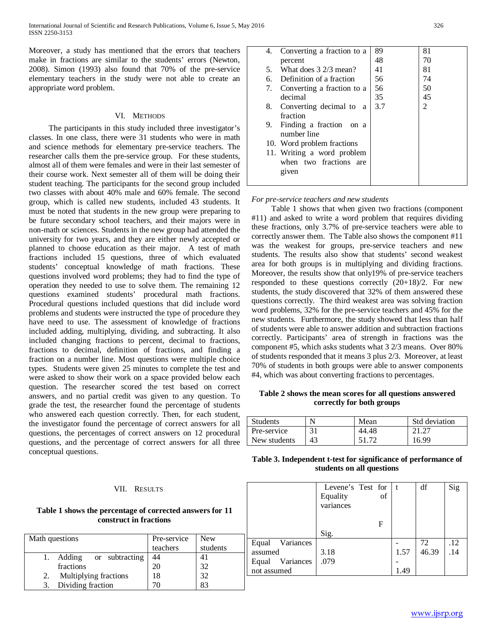Moreover, a study has mentioned that the errors that teachers make in fractions are similar to the students' errors (Newton, 2008). Simon (1993) also found that 70% of the pre-service elementary teachers in the study were not able to create an appropriate word problem.

### VI. METHODS

 The participants in this study included three investigator's classes. In one class, there were 31 students who were in math and science methods for elementary pre-service teachers. The researcher calls them the pre-service group. For these students, almost all of them were females and were in their last semester of their course work. Next semester all of them will be doing their student teaching. The participants for the second group included two classes with about 40% male and 60% female. The second group, which is called new students, included 43 students. It must be noted that students in the new group were preparing to be future secondary school teachers, and their majors were in non-math or sciences. Students in the new group had attended the university for two years, and they are either newly accepted or planned to choose education as their major. A test of math fractions included 15 questions, three of which evaluated students' conceptual knowledge of math fractions. These questions involved word problems; they had to find the type of operation they needed to use to solve them. The remaining 12 questions examined students' procedural math fractions. Procedural questions included questions that did include word problems and students were instructed the type of procedure they have need to use. The assessment of knowledge of fractions included adding, multiplying, dividing, and subtracting. It also included changing fractions to percent, decimal to fractions, fractions to decimal, definition of fractions, and finding a fraction on a number line. Most questions were multiple choice types. Students were given 25 minutes to complete the test and were asked to show their work on a space provided below each question. The researcher scored the test based on correct answers, and no partial credit was given to any question. To grade the test, the researcher found the percentage of students who answered each question correctly. Then, for each student, the investigator found the percentage of correct answers for all questions, the percentages of correct answers on 12 procedural questions, and the percentage of correct answers for all three conceptual questions.

#### VII. RESULTS

## **Table 1 shows the percentage of corrected answers for 11 construct in fractions**

| Math questions |                       | Pre-service<br>teachers | <b>New</b><br>students |
|----------------|-----------------------|-------------------------|------------------------|
|                | Adding or subtracting | 44                      |                        |
|                | fractions             |                         | 32                     |
| 2.             | Multiplying fractions |                         | 32                     |
|                | Dividing fraction     |                         |                        |

| 4.          |                            | 89  | 81             |
|-------------|----------------------------|-----|----------------|
|             | Converting a fraction to a |     |                |
| percent     |                            | 48  | 70             |
| 5.          | What does 3 2/3 mean?      | 41  | 81             |
| б.          | Definition of a fraction   | 56  | 74             |
| 7.          | Converting a fraction to a | 56  | 50             |
| decimal     |                            | 35  | 45             |
| 8.          | Converting decimal to<br>a | 3.7 | $\overline{c}$ |
| fraction    |                            |     |                |
| 9.          | Finding a fraction<br>on a |     |                |
| number line |                            |     |                |
|             | 10. Word problem fractions |     |                |
|             | 11. Writing a word problem |     |                |
|             | when two fractions are     |     |                |
| given       |                            |     |                |
|             |                            |     |                |

#### *For pre-service teachers and new students*

 Table 1 shows that when given two fractions (component #11) and asked to write a word problem that requires dividing these fractions, only 3.7% of pre-service teachers were able to correctly answer them. The Table also shows the component #11 was the weakest for groups, pre-service teachers and new students. The results also show that students' second weakest area for both groups is in multiplying and dividing fractions. Moreover, the results show that only19% of pre-service teachers responded to these questions correctly (20+18)/2. For new students, the study discovered that 32% of them answered these questions correctly. The third weakest area was solving fraction word problems, 32% for the pre-service teachers and 45% for the new students. Furthermore, the study showed that less than half of students were able to answer addition and subtraction fractions correctly. Participants' area of strength in fractions was the component #5, which asks students what 3 2/3 means. Over 80% of students responded that it means 3 plus 2/3. Moreover, at least 70% of students in both groups were able to answer components #4, which was about converting fractions to percentages.

#### **Table 2 shows the mean scores for all questions answered correctly for both groups**

| <b>Students</b> | N  | Mean  | Std deviation |
|-----------------|----|-------|---------------|
| Pre-service     |    | 44.48 | 21.27         |
| New students    | 43 |       | 16.99         |

| Table 3. Independent t-test for significance of performance of |  |
|----------------------------------------------------------------|--|
| students on all questions                                      |  |

|                 | Levene's Test for   t |    |      | df    | Sig |
|-----------------|-----------------------|----|------|-------|-----|
|                 | Equality              | of |      |       |     |
|                 | variances             |    |      |       |     |
|                 |                       | F  |      |       |     |
|                 | Sig.                  |    |      |       |     |
| Equal Variances |                       |    |      | 72    | .12 |
| assumed         | 3.18                  |    | 1.57 | 46.39 | .14 |
| Equal Variances | .079                  |    |      |       |     |
| not assumed     |                       |    | 1.49 |       |     |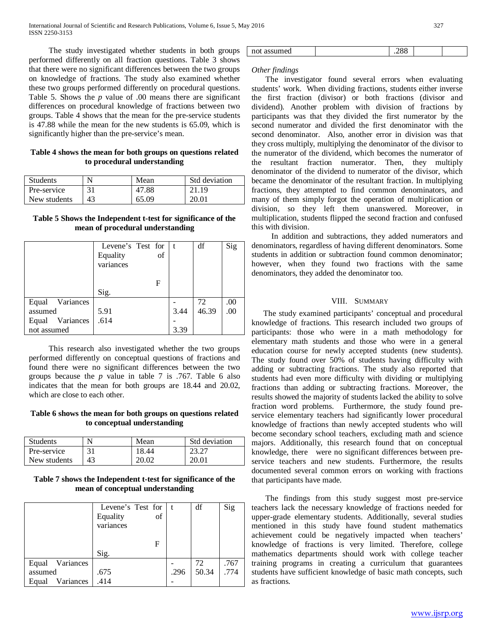The study investigated whether students in both groups performed differently on all fraction questions. Table 3 shows that there were no significant differences between the two groups on knowledge of fractions. The study also examined whether these two groups performed differently on procedural questions. Table 5. Shows the *p* value of .00 means there are significant differences on procedural knowledge of fractions between two groups. Table 4 shows that the mean for the pre-service students is 47.88 while the mean for the new students is 65.09, which is significantly higher than the pre-service's mean.

## **Table 4 shows the mean for both groups on questions related to procedural understanding**

| <b>Students</b> |    | Mean  | Std deviation |
|-----------------|----|-------|---------------|
| Pre-service     | 31 | 47.88 | 21.19         |
| New students    | 43 | 65.09 | 20.01         |

## **Table 5 Shows the Independent t-test for significance of the mean of procedural understanding**

|                 | Levene's Test for<br>Equality<br>variances | of | l t  | df    | Sig |
|-----------------|--------------------------------------------|----|------|-------|-----|
|                 | Sig.                                       | F  |      |       |     |
| Equal Variances |                                            |    |      | 72    | .00 |
| assumed         | 5.91                                       |    | 3.44 | 46.39 | .00 |
| Equal Variances | .614                                       |    |      |       |     |
| not assumed     |                                            |    | 3.39 |       |     |

 This research also investigated whether the two groups performed differently on conceptual questions of fractions and found there were no significant differences between the two groups because the *p* value in table 7 is .767. Table 6 also indicates that the mean for both groups are 18.44 and 20.02, which are close to each other.

## **Table 6 shows the mean for both groups on questions related to conceptual understanding**

| <b>Students</b> |    | Mean  | <b>Std deviation</b> |
|-----------------|----|-------|----------------------|
| Pre-service     |    | 18.44 |                      |
| New students    | 43 | 20.02 | 20.01                |

## **Table 7 shows the Independent t-test for significance of the mean of conceptual understanding**

|                    | Levene's Test for $ t $ |    |      | df    | Sig  |
|--------------------|-------------------------|----|------|-------|------|
|                    | Equality                | of |      |       |      |
|                    | variances               |    |      |       |      |
|                    |                         |    |      |       |      |
|                    |                         | F  |      |       |      |
|                    | Sig.                    |    |      |       |      |
| Equal Variances    |                         |    |      | 72    | .767 |
| assumed            | .675                    |    | .296 | 50.34 | .774 |
| Variances<br>Equal | .414                    |    |      |       |      |

## *Other findings*

 The investigator found several errors when evaluating students' work. When dividing fractions, students either inverse the first fraction (divisor) or both fractions (divisor and dividend). Another problem with division of fractions by participants was that they divided the first numerator by the second numerator and divided the first denominator with the second denominator. Also, another error in division was that they cross multiply, multiplying the denominator of the divisor to the numerator of the dividend, which becomes the numerator of the resultant fraction numerator. Then, they multiply denominator of the dividend to numerator of the divisor, which became the denominator of the resultant fraction. In multiplying fractions, they attempted to find common denominators, and many of them simply forgot the operation of multiplication or division, so they left them unanswered. Moreover, in multiplication, students flipped the second fraction and confused this with division.

 In addition and subtractions, they added numerators and denominators, regardless of having different denominators. Some students in addition or subtraction found common denominator; however, when they found two fractions with the same denominators, they added the denominator too.

## VIII. SUMMARY

 The study examined participants' conceptual and procedural knowledge of fractions. This research included two groups of participants: those who were in a math methodology for elementary math students and those who were in a general education course for newly accepted students (new students). The study found over 50% of students having difficulty with adding or subtracting fractions. The study also reported that students had even more difficulty with dividing or multiplying fractions than adding or subtracting fractions. Moreover, the results showed the majority of students lacked the ability to solve fraction word problems. Furthermore, the study found preservice elementary teachers had significantly lower procedural knowledge of fractions than newly accepted students who will become secondary school teachers, excluding math and science majors. Additionally, this research found that on conceptual knowledge, there were no significant differences between preservice teachers and new students. Furthermore, the results documented several common errors on working with fractions that participants have made.

 The findings from this study suggest most pre-service teachers lack the necessary knowledge of fractions needed for upper-grade elementary students. Additionally, several studies mentioned in this study have found student mathematics achievement could be negatively impacted when teachers' knowledge of fractions is very limited. Therefore, college mathematics departments should work with college teacher training programs in creating a curriculum that guarantees students have sufficient knowledge of basic math concepts, such as fractions.